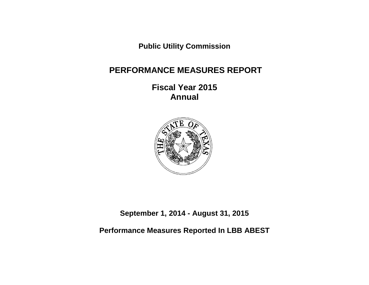**Public Utility Commission**

# **PERFORMANCE MEASURES REPORT**

**Fiscal Year 2015 Annual**



**September 1, 2014 - August 31, 2015**

**Performance Measures Reported In LBB ABEST**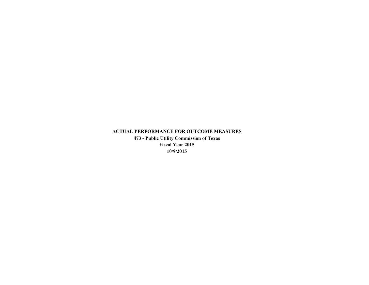**ACTUAL PERFORMANCE FOR OUTCOME MEASURES 473 - Public Utility Commission of Texas Fiscal Year 2015 10/9/2015**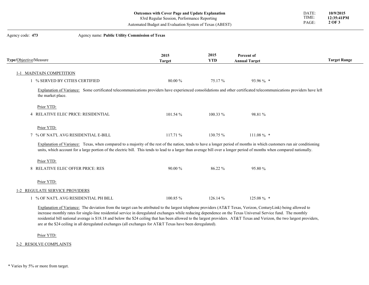|                                     | <b>Outcomes with Cover Page and Update Explanation</b><br>83rd Regular Session, Performance Reporting<br>Automated Budget and Evaluation System of Texas (ABEST)                                                                                                                                                                                   |                    |                                    | DATE:<br>TIME:<br>PAGE: | 10/9/2015<br>12:35:41PM<br>2 OF 3 |
|-------------------------------------|----------------------------------------------------------------------------------------------------------------------------------------------------------------------------------------------------------------------------------------------------------------------------------------------------------------------------------------------------|--------------------|------------------------------------|-------------------------|-----------------------------------|
| Agency code: 473                    | Agency name: Public Utility Commission of Texas                                                                                                                                                                                                                                                                                                    |                    |                                    |                         |                                   |
| Type/Objective/Measure              | 2015<br><b>Target</b>                                                                                                                                                                                                                                                                                                                              | 2015<br><b>YTD</b> | Percent of<br><b>Annual Target</b> |                         | <b>Target Range</b>               |
| 1-1 MAINTAIN COMPETITION            |                                                                                                                                                                                                                                                                                                                                                    |                    |                                    |                         |                                   |
| 1 % SERVED BY CITIES CERTIFIED      | 80.00 %                                                                                                                                                                                                                                                                                                                                            | 75.17%             | 93.96 % *                          |                         |                                   |
| the market place.<br>Prior YTD:     | Explanation of Variance: Some certificated telecommunications providers have experienced consolidations and other certificated telecommunications providers have left                                                                                                                                                                              |                    |                                    |                         |                                   |
| 4 RELATIVE ELEC PRICE: RESIDENTIAL  | 101.54%                                                                                                                                                                                                                                                                                                                                            | $100.33\%$         | 98.81 %                            |                         |                                   |
| Prior YTD:                          |                                                                                                                                                                                                                                                                                                                                                    |                    |                                    |                         |                                   |
| 7 % OF NAT'L AVG RESIDENTIAL E-BILL | 117.71 %                                                                                                                                                                                                                                                                                                                                           | 130.75 %           | $111.08\%$ *                       |                         |                                   |
|                                     | Explanation of Variance: Texas, when compared to a majority of the rest of the nation, tends to have a longer period of months in which customers run air conditioning<br>units, which account for a large portion of the electric bill. This tends to lead to a larger than average bill over a longer period of months when compared nationally. |                    |                                    |                         |                                   |
| Prior YTD:                          |                                                                                                                                                                                                                                                                                                                                                    |                    |                                    |                         |                                   |
| 8 RELATIVE ELEC OFFER PRICE: RES    | 90.00 %                                                                                                                                                                                                                                                                                                                                            | 86.22 %            | 95.80 %                            |                         |                                   |
| Prior YTD:                          |                                                                                                                                                                                                                                                                                                                                                    |                    |                                    |                         |                                   |
|                                     |                                                                                                                                                                                                                                                                                                                                                    |                    |                                    |                         |                                   |
| 1-2 REGULATE SERVICE PROVIDERS      |                                                                                                                                                                                                                                                                                                                                                    |                    |                                    |                         |                                   |

Explanation of Variance: The deviation from the target can be attributed to the largest telephone providers (AT&T Texas, Verizon, CenturyLink) being allowed to increase monthly rates for single-line residential service in deregulated exchanges while reducing dependence on the Texas Universal Service fund. The monthly residential bill national average is \$18.18 and below the \$24 ceiling that has been allowed to the largest providers. AT&T Texas and Verizon, the two largest providers, are at the \$24 ceiling in all deregulated exchanges (all exchanges for AT&T Texas have been deregulated).

Prior YTD:<br>2-2 RESOLVE COMPLAINTS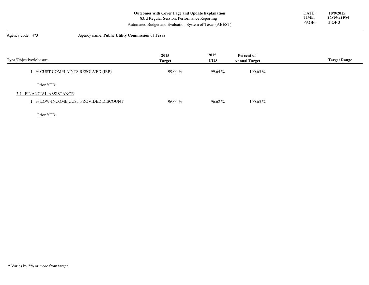| Outcomes with Cover Page and Update Explanation         | DATE: | 10/9/2015  |
|---------------------------------------------------------|-------|------------|
| 83rd Regular Session, Performance Reporting             | TIME: | 12:35:41PM |
| Automated Budget and Evaluation System of Texas (ABEST) | PAGE  | 3 OF 3     |

# Agency code: **473** Agency name: **Public Utility Commission of Texas**

| <b>Type/Objective/Measure</b>       | 2015<br><b>Target</b> | 2015<br><b>YTD</b> | Percent of<br><b>Annual Target</b> | <b>Target Range</b> |
|-------------------------------------|-----------------------|--------------------|------------------------------------|---------------------|
| 1 % CUST COMPLAINTS RESOLVED (IRP)  | $99.00\%$             | 99.64 %            | $100.65\%$                         |                     |
| Prior YTD:                          |                       |                    |                                    |                     |
| 3-1 FINANCIAL ASSISTANCE            |                       |                    |                                    |                     |
| % LOW-INCOME CUST PROVIDED DISCOUNT | $96.00\%$             | $96.62\%$          | $100.65\%$                         |                     |

Prior YTD: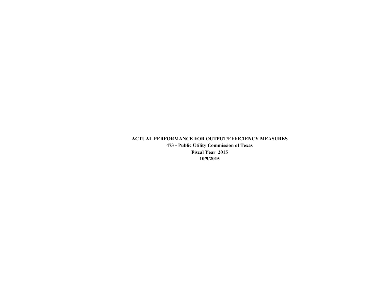# **ACTUAL PERFORMANCE FOR OUTPUT/EFFICIENCY MEASURES 473 - Public Utility Commission of Texas Fiscal Year 2015 10/9/2015**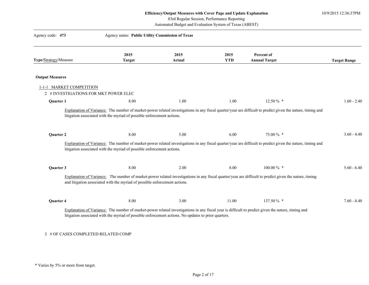10/9/2015 12:36:37PM

83rd Regular Session, Performance Reporting

Automated Budget and Evaluation System of Texas (ABEST)

| Agency code: 473                      | Agency name: Public Utility Commission of Texas                                                      |                       |                    |                                                                                                                                                                          |                     |
|---------------------------------------|------------------------------------------------------------------------------------------------------|-----------------------|--------------------|--------------------------------------------------------------------------------------------------------------------------------------------------------------------------|---------------------|
| Type/Strategy/Measure                 | 2015<br><b>Target</b>                                                                                | 2015<br><b>Actual</b> | 2015<br><b>YTD</b> | Percent of<br><b>Annual Target</b>                                                                                                                                       | <b>Target Range</b> |
|                                       |                                                                                                      |                       |                    |                                                                                                                                                                          |                     |
| <b>Output Measures</b>                |                                                                                                      |                       |                    |                                                                                                                                                                          |                     |
| 1-1-1 MARKET COMPETITION              |                                                                                                      |                       |                    |                                                                                                                                                                          |                     |
| 2 # INVESTIGATIONS FOR MKT POWER ELEC |                                                                                                      |                       |                    |                                                                                                                                                                          |                     |
| Quarter 1                             | 8.00                                                                                                 | 1.00                  | 1.00               | $12.50\%$ *                                                                                                                                                              | $1.60 - 2.40$       |
| Quarter 2                             | 8.00<br>litigation associated with the myriad of possible enforcement actions.                       | 5.00                  | 6.00               | 75.00 % *<br>Explanation of Variance: The number of market-power related investigations in any fiscal quarter/year are difficult to predict given the nature, timing and | $3.60 - 4.40$       |
| Quarter 3                             | 8.00                                                                                                 | 2.00                  | 8.00               | 100.00 % *                                                                                                                                                               | $5.60 - 6.40$       |
|                                       | and litigation associated with the myriad of possible enforcement actions.                           |                       |                    | Explanation of Variance: The number of market-power related investigations in any fiscal quarter/year are difficult to predict given the nature, timing                  |                     |
| Quarter 4                             | 8.00                                                                                                 | 3.00                  | 11.00              | 137.50 % *                                                                                                                                                               | $7.60 - 8.40$       |
|                                       | litigation associated with the myriad of possible enforcement actions. No updates to prior quarters. |                       |                    | Explanation of Variance: The number of market-power related investigations in any fiscal year is difficult to predict given the nature, timing and                       |                     |

# 3 # OF CASES COMPLETED RELATED COMP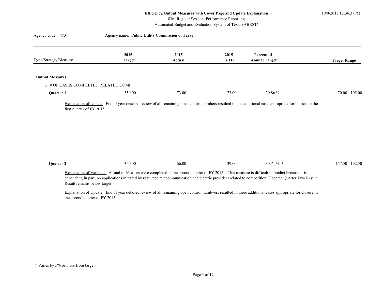10/9/2015 12:36:37PM

83rd Regular Session, Performance Reporting

Automated Budget and Evaluation System of Texas (ABEST)

| Agency code: 473                    | Agency name: Public Utility Commission of Texas |                |                    |                                                                                                                                                                                                                                                                                                             |                     |
|-------------------------------------|-------------------------------------------------|----------------|--------------------|-------------------------------------------------------------------------------------------------------------------------------------------------------------------------------------------------------------------------------------------------------------------------------------------------------------|---------------------|
| Type/Strategy/Measure               | 2015<br><b>Target</b>                           | 2015<br>Actual | 2015<br><b>YTD</b> | Percent of<br><b>Annual Target</b>                                                                                                                                                                                                                                                                          | <b>Target Range</b> |
| <b>Output Measures</b>              |                                                 |                |                    |                                                                                                                                                                                                                                                                                                             |                     |
| 3 # OF CASES COMPLETED RELATED COMP |                                                 |                |                    |                                                                                                                                                                                                                                                                                                             |                     |
| Quarter 1                           | 350.00                                          | 73.00          | 73.00              | 20.86 %                                                                                                                                                                                                                                                                                                     | $70.00 - 105.00$    |
|                                     |                                                 |                |                    |                                                                                                                                                                                                                                                                                                             |                     |
| Quarter 2                           | 350.00                                          | 66.00          | 139.00             | 39.71 $\%$ *                                                                                                                                                                                                                                                                                                | 157.50 - 192.50     |
| Result remains below target.        |                                                 |                |                    | Explanation of Variance: A total of 63 cases were completed in the second quarter of FY 2015. This measure is difficult to predict because it is<br>dependent, in part, on applications initiated by regulated telecommunication and electric providers related to competition. Updated Quarter Two Result. |                     |
|                                     |                                                 |                |                    | Explanation of Update: End of year detailed review of all remaining open control numbvers resulted in three additional cases appropriate for closure in                                                                                                                                                     |                     |

the second quarter of FY 2015.

\* Varies by 5% or more from target.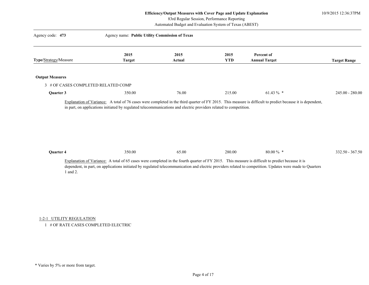10/9/2015 12:36:37PM

83rd Regular Session, Performance Reporting

Automated Budget and Evaluation System of Texas (ABEST)

| Agency code: 473                    | Agency name: Public Utility Commission of Texas |                |                    |                                                                                                                                                                                                                                                                                                               |                     |
|-------------------------------------|-------------------------------------------------|----------------|--------------------|---------------------------------------------------------------------------------------------------------------------------------------------------------------------------------------------------------------------------------------------------------------------------------------------------------------|---------------------|
| Type/Strategy/Measure               | 2015<br><b>Target</b>                           | 2015<br>Actual | 2015<br><b>YTD</b> | Percent of<br><b>Annual Target</b>                                                                                                                                                                                                                                                                            | <b>Target Range</b> |
| <b>Output Measures</b>              |                                                 |                |                    |                                                                                                                                                                                                                                                                                                               |                     |
| 3 # OF CASES COMPLETED RELATED COMP |                                                 |                |                    |                                                                                                                                                                                                                                                                                                               |                     |
| Quarter 3                           | 350.00                                          | 76.00          | 215.00             | 61.43 $\%$ *                                                                                                                                                                                                                                                                                                  | $245.00 - 280.00$   |
| Quarter 4                           | 350.00                                          | 65.00          | 280.00             | 80.00 $\%$ *                                                                                                                                                                                                                                                                                                  | 332.50 - 367.50     |
| 1 and 2.                            |                                                 |                |                    | Explanation of Variance: A total of 65 cases were completed in the fourth quarter of FY 2015. This measure is difficult to predict because it is<br>dependent, in part, on applications initiated by regulated telecommunication and electric providers related to competition. Updates were made to Quarters |                     |
| 1-2-1 UTILITY REGULATION            |                                                 |                |                    |                                                                                                                                                                                                                                                                                                               |                     |

1 # OF RATE CASES COMPLETED ELECTRIC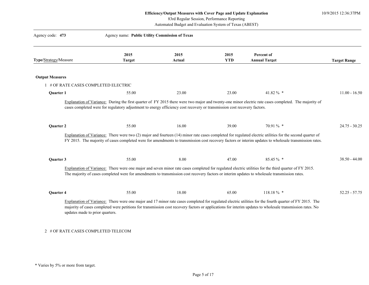10/9/2015 12:36:37PM

83rd Regular Session, Performance Reporting

| Agency code: 473       | Agency name: Public Utility Commission of Texas                                                                                                                                                                                                                                                                         |                |                    |                                    |                     |
|------------------------|-------------------------------------------------------------------------------------------------------------------------------------------------------------------------------------------------------------------------------------------------------------------------------------------------------------------------|----------------|--------------------|------------------------------------|---------------------|
| Type/Strategy/Measure  | 2015<br><b>Target</b>                                                                                                                                                                                                                                                                                                   | 2015<br>Actual | 2015<br><b>YTD</b> | Percent of<br><b>Annual Target</b> | <b>Target Range</b> |
| <b>Output Measures</b> |                                                                                                                                                                                                                                                                                                                         |                |                    |                                    |                     |
|                        | 1 # OF RATE CASES COMPLETED ELECTRIC                                                                                                                                                                                                                                                                                    |                |                    |                                    |                     |
| <b>Ouarter 1</b>       | 55.00                                                                                                                                                                                                                                                                                                                   | 23.00          | 23.00              | 41.82 % *                          | $11.00 - 16.50$     |
|                        | Explanation of Variance: During the first quarter of FY 2015 there were two major and twenty-one minor electric rate cases completed. The majority of<br>cases completed were for regulatory adjustment to energy efficiency cost recovery or transmission cost recovery factors.                                       |                |                    |                                    |                     |
|                        |                                                                                                                                                                                                                                                                                                                         |                |                    |                                    |                     |
| Quarter 2              | 55.00                                                                                                                                                                                                                                                                                                                   | 16.00          | 39.00              | 70.91 % *                          | $24.75 - 30.25$     |
|                        | Explanation of Variance: There were two $(2)$ major and fourteen $(14)$ minor rate cases completed for regulated electric utilities for the second quarter of<br>FY 2015. The majority of cases completed were for amendments to transmission cost recovery factors or interim updates to wholesale transmission rates. |                |                    |                                    |                     |
| Quarter 3              | 55.00                                                                                                                                                                                                                                                                                                                   | 8.00           | 47.00              | 85.45 % *                          | $38.50 - 44.00$     |
|                        | Explanation of Variance: There were one major and seven minor rate cases completed for regulated electric utilities for the third quarter of FY 2015.<br>The majority of cases completed were for amendments to transmission cost recovery factors or interim updates to wholesale transmission rates.                  |                |                    |                                    |                     |
| Quarter 4              | 55.00                                                                                                                                                                                                                                                                                                                   | 18.00          | 65.00              | 118.18% *                          | $52.25 - 57.75$     |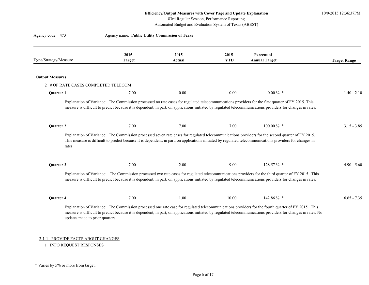10/9/2015 12:36:37PM

83rd Regular Session, Performance Reporting

Automated Budget and Evaluation System of Texas (ABEST)

| Agency code: 473       |                                     | Agency name: Public Utility Commission of Texas |                |                    |                                                                                                                                                                                                                                                                                                                   |                     |
|------------------------|-------------------------------------|-------------------------------------------------|----------------|--------------------|-------------------------------------------------------------------------------------------------------------------------------------------------------------------------------------------------------------------------------------------------------------------------------------------------------------------|---------------------|
| Type/Strategy/Measure  |                                     | 2015<br><b>Target</b>                           | 2015<br>Actual | 2015<br><b>YTD</b> | Percent of<br><b>Annual Target</b>                                                                                                                                                                                                                                                                                | <b>Target Range</b> |
| <b>Output Measures</b> |                                     |                                                 |                |                    |                                                                                                                                                                                                                                                                                                                   |                     |
|                        | 2 # OF RATE CASES COMPLETED TELECOM |                                                 |                |                    |                                                                                                                                                                                                                                                                                                                   |                     |
| Quarter 1              |                                     | 7.00                                            | 0.00           | 0.00               | $0.00\%$ *                                                                                                                                                                                                                                                                                                        | $1.40 - 2.10$       |
|                        |                                     |                                                 |                |                    | Explanation of Variance: The Commission processed no rate cases for regulated telecommunications providers for the first quarter of FY 2015. This<br>measure is difficult to predict because it is dependent, in part, on applications initiated by regulated telecommunications providers for changes in rates.  |                     |
|                        |                                     |                                                 |                |                    |                                                                                                                                                                                                                                                                                                                   |                     |
| Quarter 2              |                                     | 7.00                                            | 7.00           | 7.00               | $100.00\%$ *                                                                                                                                                                                                                                                                                                      | $3.15 - 3.85$       |
|                        | rates.                              |                                                 |                |                    | Explanation of Variance: The Commission processed seven rate cases for regulated telecommunications providers for the second quarter of FY 2015.<br>This measure is difficult to predict because it is dependent, in part, on applications initiated by regulated telecommunications providers for changes in     |                     |
| Quarter 3              |                                     | 7.00                                            | 2.00           | 9.00               | 128.57 % *                                                                                                                                                                                                                                                                                                        | $4.90 - 5.60$       |
|                        |                                     |                                                 |                |                    | Explanation of Variance: The Commission processed two rate cases for regulated telecommunications providers for the third quarter of FY 2015. This<br>measure is difficult to predict because it is dependent, in part, on applications initiated by regulated telecommunications providers for changes in rates. |                     |
| Quarter 4              |                                     | 7.00                                            | 1.00           | 10.00              | 142.86 % *                                                                                                                                                                                                                                                                                                        | $6.65 - 7.35$       |

1 INFO REQUEST RESPONSES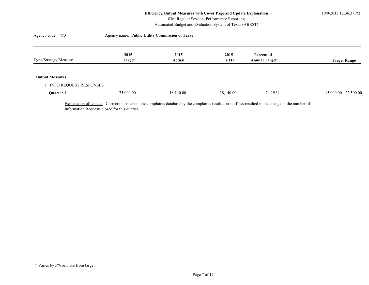10/9/2015 12:36:37PM

83rd Regular Session, Performance Reporting

Automated Budget and Evaluation System of Texas (ABEST)

| Agency code: 473       | Agency name: Public Utility Commission of Texas |           |            |                      |                         |
|------------------------|-------------------------------------------------|-----------|------------|----------------------|-------------------------|
|                        | 2015                                            | 2015      | 2015       | Percent of           |                         |
| Type/Strategy/Measure  | <b>Target</b>                                   | Actual    | <b>YTD</b> | <b>Annual Target</b> | <b>Target Range</b>     |
|                        |                                                 |           |            |                      |                         |
| <b>Output Measures</b> |                                                 |           |            |                      |                         |
| INFO REQUEST RESPONSES |                                                 |           |            |                      |                         |
| Quarter 1              | 75,000.00                                       | 18,140.00 | 18,140.00  | 24.19 %              | $15,000.00 - 22,500.00$ |

Information Requests closed for this quarter.

<sup>\*</sup> Varies by 5% or more from target.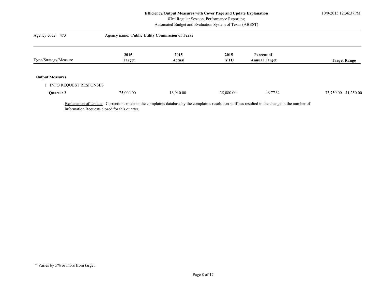10/9/2015 12:36:37PM

83rd Regular Session, Performance Reporting

Automated Budget and Evaluation System of Texas (ABEST)

| Agency code: 473       | Agency name: Public Utility Commission of Texas |           |            |                      |                         |
|------------------------|-------------------------------------------------|-----------|------------|----------------------|-------------------------|
|                        | 2015                                            | 2015      | 2015       | Percent of           |                         |
| Type/Strategy/Measure  | <b>Target</b>                                   | Actual    | <b>YTD</b> | <b>Annual Target</b> | <b>Target Range</b>     |
|                        |                                                 |           |            |                      |                         |
| <b>Output Measures</b> |                                                 |           |            |                      |                         |
| INFO REQUEST RESPONSES |                                                 |           |            |                      |                         |
| Quarter 2              | 75,000.00                                       | 16.940.00 | 35,080.00  | 46.77 %              | $33,750.00 - 41,250.00$ |

Information Requests closed for this quarter.

<sup>\*</sup> Varies by 5% or more from target.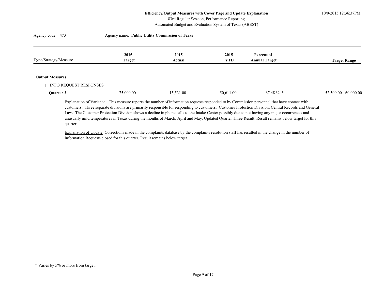10/9/2015 12:36:37PM

83rd Regular Session, Performance Reporting

Automated Budget and Evaluation System of Texas (ABEST)

| Agency code: 473       | Agency name: Public Utility Commission of Texas |                |                    |                                    |                         |  |  |
|------------------------|-------------------------------------------------|----------------|--------------------|------------------------------------|-------------------------|--|--|
| Type/Strategy/Measure  | 2015<br><b>Target</b>                           | 2015<br>Actual | 2015<br><b>YTD</b> | Percent of<br><b>Annual Target</b> | <b>Target Range</b>     |  |  |
| <b>Output Measures</b> |                                                 |                |                    |                                    |                         |  |  |
| INFO REQUEST RESPONSES |                                                 |                |                    |                                    |                         |  |  |
| Quarter 3              | 75,000.00                                       | 15,531.00      | 50,611.00          | $67.48 \%$ *                       | $52,500.00 - 60,000.00$ |  |  |
|                        |                                                 |                |                    |                                    |                         |  |  |

Explanation of Variance: This measure reports the number of information requests responded to by Commission personnel that have contact with customers. Three separate divisions are primarily responsible for responding to customers: Customer Protection Division, Central Records and General Law. The Customer Protection Division shows a decline in phone calls to the Intake Center possibly due to not having any major occurrences and unusually mild temperatures in Texas during the months of March, April and May. Updated Quarter Three Result. Result remains below target for this quarter.

Explanation of Update: Corrections made in the complaints database by the complaints resolution staff has resulted in the change in the number of Information Requests closed for this quarter. Result remains below target.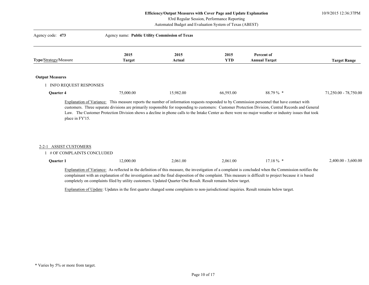10/9/2015 12:36:37PM

83rd Regular Session, Performance Reporting

Automated Budget and Evaluation System of Texas (ABEST)

| Agency code: 473                                    | Agency name: Public Utility Commission of Texas |                |                    |                                                                                                                                                                                                                                                                                                      |                       |
|-----------------------------------------------------|-------------------------------------------------|----------------|--------------------|------------------------------------------------------------------------------------------------------------------------------------------------------------------------------------------------------------------------------------------------------------------------------------------------------|-----------------------|
| Type/Strategy/Measure                               | 2015<br><b>Target</b>                           | 2015<br>Actual | 2015<br><b>YTD</b> | Percent of<br><b>Annual Target</b>                                                                                                                                                                                                                                                                   | <b>Target Range</b>   |
| <b>Output Measures</b>                              |                                                 |                |                    |                                                                                                                                                                                                                                                                                                      |                       |
| INFO REQUEST RESPONSES                              |                                                 |                |                    |                                                                                                                                                                                                                                                                                                      |                       |
|                                                     |                                                 |                | 66,593.00          | $88.79\%$ *                                                                                                                                                                                                                                                                                          | 71,250.00 - 78,750.00 |
| Quarter 4                                           | 75,000.00                                       | 15,982.00      |                    | Explanation of Variance: This measure reports the number of information requests responded to by Commission personnel that have contact with<br>customers. Three separate divisions are primarily responsible for responding to customers: Customer Protection Division, Central Records and General |                       |
| place in FY'15.                                     |                                                 |                |                    | Law. The Customer Protection Division shows a decline in phone calls to the Intake Center as there were no major weather or industry issues that took                                                                                                                                                |                       |
| 2-2-1 ASSIST CUSTOMERS<br># OF COMPLAINTS CONCLUDED |                                                 |                |                    |                                                                                                                                                                                                                                                                                                      |                       |

Explanation of Update: Updates in the first quarter changed some complaints to non-jurisdictional inquiries. Result remains below target.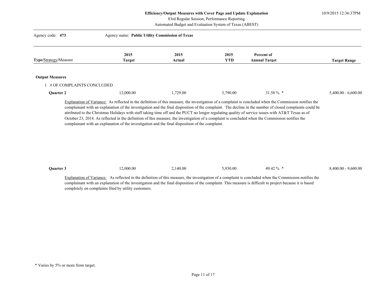10/9/2015 12:36:37PM

83rd Regular Session, Performance Reporting

Automated Budget and Evaluation System of Texas (ABEST)

| Agency code: 473          | Agency name: Public Utility Commission of Texas                                                  |                |                    |                                                                                                                                                                                                                                                                                                                                                                                                                                                                                                                                                                                                                              |                       |
|---------------------------|--------------------------------------------------------------------------------------------------|----------------|--------------------|------------------------------------------------------------------------------------------------------------------------------------------------------------------------------------------------------------------------------------------------------------------------------------------------------------------------------------------------------------------------------------------------------------------------------------------------------------------------------------------------------------------------------------------------------------------------------------------------------------------------------|-----------------------|
| Type/Strategy/Measure     | 2015<br><b>Target</b>                                                                            | 2015<br>Actual | 2015<br><b>YTD</b> | Percent of<br><b>Annual Target</b>                                                                                                                                                                                                                                                                                                                                                                                                                                                                                                                                                                                           | <b>Target Range</b>   |
|                           |                                                                                                  |                |                    |                                                                                                                                                                                                                                                                                                                                                                                                                                                                                                                                                                                                                              |                       |
| <b>Output Measures</b>    |                                                                                                  |                |                    |                                                                                                                                                                                                                                                                                                                                                                                                                                                                                                                                                                                                                              |                       |
| # OF COMPLAINTS CONCLUDED |                                                                                                  |                |                    |                                                                                                                                                                                                                                                                                                                                                                                                                                                                                                                                                                                                                              |                       |
| Quarter 2                 | 12,000.00                                                                                        | 1,729.00       | 3,790.00           | 31.58 $\%$ *                                                                                                                                                                                                                                                                                                                                                                                                                                                                                                                                                                                                                 | $5,400.00 - 6,600.00$ |
|                           | complainant with an explanation of the investigation and the final disposition of the complaint. |                |                    | Explanation of Variance: As reflected in the definition of this measure, the investigation of a complaint is concluded when the Commission notifies the<br>complainant with an explanation of the investigation and the final disposition of the complaint. The decline in the number of closed complaints could be<br>attributed to the Christmas Holidays with staff taking time off and the PUCT no longer regulating quality of service issues with AT&T Texas as of<br>October 23, 2014. As reflected in the definition of this measure, the investigation of a complaint is concluded when the Commission notifies the |                       |

| Ouarter. | 000.00 | 140.00 | .930.00 | $\sim$<br>49. | 9.600.0<br>$0.400.00 - 7$ |
|----------|--------|--------|---------|---------------|---------------------------|
|----------|--------|--------|---------|---------------|---------------------------|

Explanation of Variance: As reflected in the definition of this measure, the investigation of a complaint is concluded when the Commission notifies the complainant with an explanation of the investigation and the final disposition of the complaint. This measure is difficult to project because it is based completely on complaints filed by utility customers.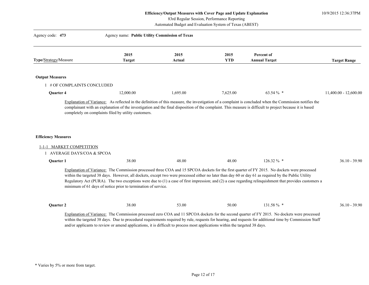83rd Regular Session, Performance Reporting

| Agency code: 473                                                                     | Agency name: Public Utility Commission of Texas                                                                              |                |                    |                                                                                                                                                                                                                                                                                                                                                                                                                                                                     |                         |
|--------------------------------------------------------------------------------------|------------------------------------------------------------------------------------------------------------------------------|----------------|--------------------|---------------------------------------------------------------------------------------------------------------------------------------------------------------------------------------------------------------------------------------------------------------------------------------------------------------------------------------------------------------------------------------------------------------------------------------------------------------------|-------------------------|
| Type/Strategy/Measure                                                                | 2015<br><b>Target</b>                                                                                                        | 2015<br>Actual | 2015<br><b>YTD</b> | Percent of<br><b>Annual Target</b>                                                                                                                                                                                                                                                                                                                                                                                                                                  | <b>Target Range</b>     |
| <b>Output Measures</b>                                                               |                                                                                                                              |                |                    |                                                                                                                                                                                                                                                                                                                                                                                                                                                                     |                         |
| 1 # OF COMPLAINTS CONCLUDED                                                          |                                                                                                                              |                |                    |                                                                                                                                                                                                                                                                                                                                                                                                                                                                     |                         |
| Quarter 4                                                                            | 12,000.00                                                                                                                    | 1,695.00       | 7,625.00           | 63.54 % *                                                                                                                                                                                                                                                                                                                                                                                                                                                           | $11,400.00 - 12,600.00$ |
| <b>Efficiency Measures</b><br>1-1-1 MARKET COMPETITION<br>1 AVERAGE DAYS/COA & SPCOA |                                                                                                                              |                |                    |                                                                                                                                                                                                                                                                                                                                                                                                                                                                     |                         |
| Quarter 1                                                                            | 38.00                                                                                                                        | 48.00          | 48.00              | 126.32 % *                                                                                                                                                                                                                                                                                                                                                                                                                                                          | $36.10 - 39.90$         |
|                                                                                      | minimum of 61 days of notice prior to termination of service.                                                                |                |                    | Explanation of Variance: The Commission processed three COA and 15 SPCOA dockets for the first quarter of FY 2015. No dockets were processed<br>within the targeted 38 days. However, all dockets, except two were processed either no later than day 60 or day 61 as required by the Public Utility<br>Regulatory Act (PURA). The two exceptions were due to $(1)$ a case of first impression; and $(2)$ a case regarding relinquishment that provides customers a |                         |
| Quarter 2                                                                            | 38.00                                                                                                                        | 53.00          | 50.00              | 131.58 % *                                                                                                                                                                                                                                                                                                                                                                                                                                                          | $36.10 - 39.90$         |
|                                                                                      | and/or applicants to review or amend applications, it is difficult to process most applications within the targeted 38 days. |                |                    | Explanation of Variance: The Commission processed zero COA and 11 SPCOA dockets for the second quarter of FY 2015. No dockets were processed<br>within the targeted 38 days. Due to procedural requirements required by rule, requests for hearing, and requests for additional time by Commission Staff                                                                                                                                                            |                         |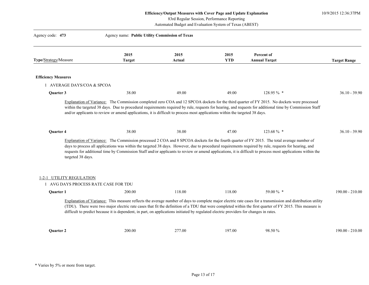10/9/2015 12:36:37PM

83rd Regular Session, Performance Reporting

| Agency code: 473                                                 | Agency name: Public Utility Commission of Texas                                                                                                                                                                                                                                                                                                                                                                                                                    |                |                    |                                    |                     |
|------------------------------------------------------------------|--------------------------------------------------------------------------------------------------------------------------------------------------------------------------------------------------------------------------------------------------------------------------------------------------------------------------------------------------------------------------------------------------------------------------------------------------------------------|----------------|--------------------|------------------------------------|---------------------|
| Type/Strategy/Measure                                            | 2015<br><b>Target</b>                                                                                                                                                                                                                                                                                                                                                                                                                                              | 2015<br>Actual | 2015<br><b>YTD</b> | Percent of<br><b>Annual Target</b> | <b>Target Range</b> |
| <b>Efficiency Measures</b>                                       |                                                                                                                                                                                                                                                                                                                                                                                                                                                                    |                |                    |                                    |                     |
| 1 AVERAGE DAYS/COA & SPCOA                                       |                                                                                                                                                                                                                                                                                                                                                                                                                                                                    |                |                    |                                    |                     |
| Quarter 3                                                        | 38.00                                                                                                                                                                                                                                                                                                                                                                                                                                                              | 49.00          | 49.00              | 128.95 % *                         | $36.10 - 39.90$     |
|                                                                  | Explanation of Variance: The Commission completed zero COA and 12 SPCOA dockets for the third quarter of FY 2015. No dockets were processed<br>within the targeted 38 days. Due to procedural requirements required by rule, requests for hearing, and requests for additional time by Commission Staff<br>and/or applicants to review or amend applications, it is difficult to process most applications within the targeted 38 days.                            |                |                    |                                    |                     |
| Quarter 4                                                        | 38.00                                                                                                                                                                                                                                                                                                                                                                                                                                                              | 38.00          | 47.00              | 123.68 % *                         | $36.10 - 39.90$     |
| targeted 38 days.                                                | Explanation of Variance: The Commission processed 2 COA and 8 SPCOA dockets for the fourth quarter of FY 2015. The total average number of<br>days to process all applications was within the targeted 38 days. However, due to procedural requirements required by rule, requests for hearing, and<br>requests for additional time by Commission Staff and/or applicants to review or amend applications, it is difficult to process most applications within the |                |                    |                                    |                     |
| 1-2-1 UTILITY REGULATION<br>1 AVG DAYS PROCESS RATE CASE FOR TDU |                                                                                                                                                                                                                                                                                                                                                                                                                                                                    |                |                    |                                    |                     |
| Quarter 1                                                        | 200.00                                                                                                                                                                                                                                                                                                                                                                                                                                                             | 118.00         | 118.00             | 59.00 % *                          | $190.00 - 210.00$   |
|                                                                  | Explanation of Variance: This measure reflects the average number of days to complete major electric rate cases for a transmission and distribution utility<br>(TDU). There were two major electric rate cases that fit the definition of a TDU that were completed within the first quarter of FY 2015. This measure is<br>difficult to predict because it is dependent, in part, on applications initiated by regulated electric providers for changes in rates. |                |                    |                                    |                     |
| <b>Ouarter 2</b>                                                 | 200.00                                                                                                                                                                                                                                                                                                                                                                                                                                                             | 277.00         | 197.00             | 98.50 %                            | $190.00 - 210.00$   |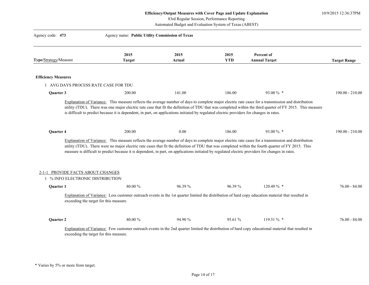10/9/2015 12:36:37PM

83rd Regular Session, Performance Reporting

| Agency code: 473           |                                                               | Agency name: Public Utility Commission of Texas                                                                                                   |                |                    |                                                                                                                                                                                                                                                                                                            |                     |
|----------------------------|---------------------------------------------------------------|---------------------------------------------------------------------------------------------------------------------------------------------------|----------------|--------------------|------------------------------------------------------------------------------------------------------------------------------------------------------------------------------------------------------------------------------------------------------------------------------------------------------------|---------------------|
| Type/Strategy/Measure      |                                                               | 2015<br><b>Target</b>                                                                                                                             | 2015<br>Actual | 2015<br><b>YTD</b> | Percent of<br><b>Annual Target</b>                                                                                                                                                                                                                                                                         | <b>Target Range</b> |
|                            |                                                               |                                                                                                                                                   |                |                    |                                                                                                                                                                                                                                                                                                            |                     |
| <b>Efficiency Measures</b> | 1 AVG DAYS PROCESS RATE CASE FOR TDU                          |                                                                                                                                                   |                |                    |                                                                                                                                                                                                                                                                                                            |                     |
| Quarter 3                  |                                                               | 200.00                                                                                                                                            | 141.00         | 186.00             | 93.00 % *                                                                                                                                                                                                                                                                                                  | $190.00 - 210.00$   |
|                            |                                                               | is difficult to predict because it is dependent, in part, on applications initiated by regulated electric providers for changes in rates.         |                |                    | utility (TDU). There was one major electric rate case that fit the definition of TDU that was completed within the third quarter of FY 2015. This measure                                                                                                                                                  |                     |
| Quarter 4                  |                                                               | 200.00                                                                                                                                            | 0.00           | 186.00             | 93.00 % *                                                                                                                                                                                                                                                                                                  | $190.00 - 210.00$   |
| 2-1-1                      | PROVIDE FACTS ABOUT CHANGES<br>% INFO ELECTRONIC DISTRIBUTION | measure is difficult to predict because it is dependent, in part, on applications initiated by regulated electric providers for changes in rates. |                |                    | Explanation of Variance: This measure reflects the average number of days to complete major electric rate cases for a transmission and distribution<br>utility (TDU). There were no major electric rate cases that fit the definition of TDU that was completed within the fourth quarter of FY 2015. This |                     |
| Quarter 1                  |                                                               | $80.00\%$                                                                                                                                         | 96.39 %        | 96.39 %            | 120.49 % *                                                                                                                                                                                                                                                                                                 | $76.00 - 84.00$     |
|                            | exceeding the target for this measure.                        |                                                                                                                                                   |                |                    | Explanation of Variance: Less customer outreach events in the 1st quarter limited the distribution of hard copy education material that resulted in                                                                                                                                                        |                     |
| Quarter 2                  |                                                               | 80.00%                                                                                                                                            | 94.90 %        | 95.61 %            | 119.51 % *                                                                                                                                                                                                                                                                                                 | $76.00 - 84.00$     |
|                            | exceeding the target for this measure.                        |                                                                                                                                                   |                |                    | Explanation of Variance: Few customer outreach events in the 2nd quarter limited the distribution of hard copy educational material that resulted in                                                                                                                                                       |                     |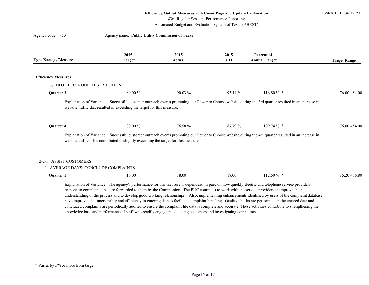10/9/2015 12:36:37PM

83rd Regular Session, Performance Reporting

Automated Budget and Evaluation System of Texas (ABEST)

| Agency code: 473               | Agency name: Public Utility Commission of Texas                                                                                                                                                                                                                                                                                                                                                                                                                                                                                                                                                                                                                                                                                                                                 |                |                    |                                    |                     |
|--------------------------------|---------------------------------------------------------------------------------------------------------------------------------------------------------------------------------------------------------------------------------------------------------------------------------------------------------------------------------------------------------------------------------------------------------------------------------------------------------------------------------------------------------------------------------------------------------------------------------------------------------------------------------------------------------------------------------------------------------------------------------------------------------------------------------|----------------|--------------------|------------------------------------|---------------------|
| Type/Strategy/Measure          | 2015<br><b>Target</b>                                                                                                                                                                                                                                                                                                                                                                                                                                                                                                                                                                                                                                                                                                                                                           | 2015<br>Actual | 2015<br><b>YTD</b> | Percent of<br><b>Annual Target</b> | <b>Target Range</b> |
|                                |                                                                                                                                                                                                                                                                                                                                                                                                                                                                                                                                                                                                                                                                                                                                                                                 |                |                    |                                    |                     |
| <b>Efficiency Measures</b>     |                                                                                                                                                                                                                                                                                                                                                                                                                                                                                                                                                                                                                                                                                                                                                                                 |                |                    |                                    |                     |
| % INFO ELECTRONIC DISTRIBUTION |                                                                                                                                                                                                                                                                                                                                                                                                                                                                                                                                                                                                                                                                                                                                                                                 |                |                    |                                    |                     |
| Quarter 3                      | 80.00 %                                                                                                                                                                                                                                                                                                                                                                                                                                                                                                                                                                                                                                                                                                                                                                         | $90.03\%$      | 93.44 %            | $116.80\%$ *                       | $76.00 - 84.00$     |
| <b>Ouarter 4</b>               | Explanation of Variance: Successful customer outreach events promoting our Power to Choose website during the 3rd quarter resulted in an increase in<br>website traffic that resulted in exceeding the target for this measure.<br>80.00 %<br>Explanation of Variance: Successful customer outreach events promoting our Power to Choose website during the 4th quarter resulted in an increase in<br>website traffic. This contributed to slightly exceeding the target for this measure.                                                                                                                                                                                                                                                                                      | 76.58 %        | 87.79 %            | $109.74\%$ *                       | $76.00 - 84.00$     |
| 2-2-1 ASSIST CUSTOMERS         | AVERAGE DAYS: CONCLUDE COMPLAINTS                                                                                                                                                                                                                                                                                                                                                                                                                                                                                                                                                                                                                                                                                                                                               |                |                    |                                    |                     |
| Quarter 1                      | 16.00                                                                                                                                                                                                                                                                                                                                                                                                                                                                                                                                                                                                                                                                                                                                                                           | 18.00          | 18.00              | $112.50\%$ *                       | $15.20 - 16.80$     |
|                                | Explanation of Variance: The agency's performance for this measure is dependent, in part, on how quickly electric and telephone service providers<br>respond to complaints that are forwarded to them by the Commission. The PUC continues to work with the service providers to improve their<br>understanding of the process and to develop good working relationships. Also, implementing enhancements identified by users of the complaint database<br>have improved its functionality and efficiency in entering data to facilitate complaint handling. Quality checks are performed on the entered data and<br>concluded complaints are periodically audited to ensure the complaint file data is complete and accurate. These activities contribute to strengthening the |                |                    |                                    |                     |

knowledge base and performance of staff who readily engage in educating customers and investigating complaints.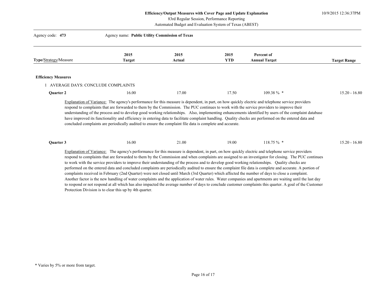10/9/2015 12:36:37PM

83rd Regular Session, Performance Reporting

| Agency code: 473           | Agency name: Public Utility Commission of Texas                                                           |                |                    |                                    |                     |
|----------------------------|-----------------------------------------------------------------------------------------------------------|----------------|--------------------|------------------------------------|---------------------|
| Type/Strategy/Measure      | 2015<br><b>Target</b>                                                                                     | 2015<br>Actual | 2015<br><b>YTD</b> | Percent of<br><b>Annual Target</b> | <b>Target Range</b> |
| <b>Efficiency Measures</b> |                                                                                                           |                |                    |                                    |                     |
|                            | 1 AVERAGE DAYS: CONCLUDE COMPLAINTS                                                                       |                |                    |                                    |                     |
| Quarter 2                  | 16.00                                                                                                     | 17.00          | 17.50              | 109.38 % *                         | $15.20 - 16.80$     |
|                            | concluded complaints are periodically audited to ensure the complaint file data is complete and accurate. |                |                    |                                    |                     |
| Quarter 3                  | 16.00                                                                                                     | 21.00          | 19.00              | $118.75\%$ *                       | $15.20 - 16.80$     |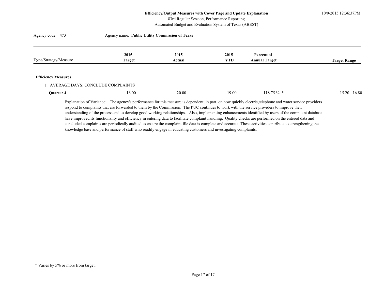10/9/2015 12:36:37PM

83rd Regular Session, Performance Reporting

Automated Budget and Evaluation System of Texas (ABEST)

| Agency code: 473                  | Agency name: Public Utility Commission of Texas |        |            |                                                                                                                                                        |                     |  |
|-----------------------------------|-------------------------------------------------|--------|------------|--------------------------------------------------------------------------------------------------------------------------------------------------------|---------------------|--|
|                                   | 2015                                            | 2015   | 2015       | Percent of                                                                                                                                             |                     |  |
| Type/Strategy/Measure             | <b>Target</b>                                   | Actual | <b>YTD</b> | <b>Annual Target</b>                                                                                                                                   | <b>Target Range</b> |  |
| <b>Efficiency Measures</b>        |                                                 |        |            |                                                                                                                                                        |                     |  |
| AVERAGE DAYS: CONCLUDE COMPLAINTS |                                                 |        |            |                                                                                                                                                        |                     |  |
| Quarter 4                         | 16.00                                           | 20.00  | 19.00      | $118.75\%$ *                                                                                                                                           | $15.20 - 16.80$     |  |
|                                   |                                                 |        |            | Evalenction of Veriance: The agency's performance for this measure is dependent in part, on how quickly electric telephone and water service providers |                     |  |

Explanation of Variance: The agency's performance for this measure is dependent, in part, on how quickly electric, telephone and water service providers respond to complaints that are forwarded to them by the Commission. The PUC continues to work with the service providers to improve their understanding of the process and to develop good working relationships. Also, implementing enhancements identified by users of the complaint database have improved its functionality and efficiency in entering data to facilitate complaint handling. Quality checks are performed on the entered data and concluded complaints are periodically audited to ensure the complaint file data is complete and accurate. These activities contribute to strengthening the knowledge base and performance of staff who readily engage in educating customers and investigating complaints.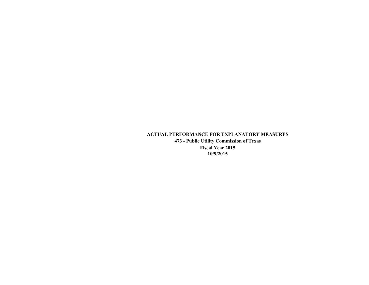# **ACTUAL PERFORMANCE FOR EXPLANATORY MEASURES 473 - Public Utility Commission of Texas Fiscal Year 2015 10/9/2015**